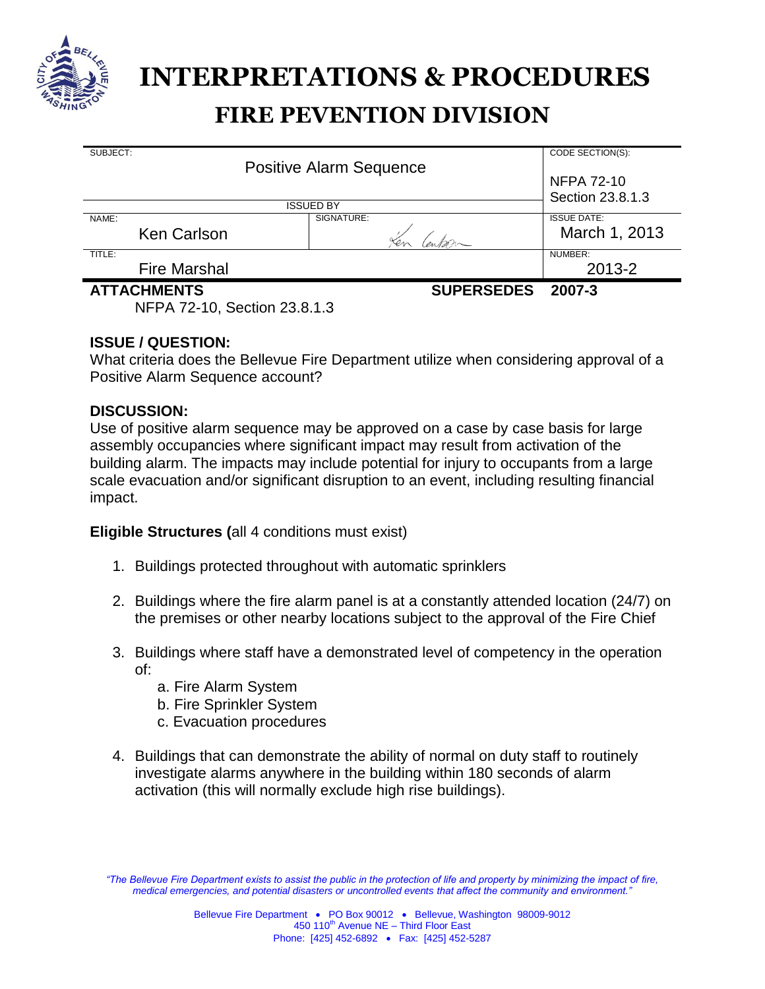

# **FIRE PEVENTION DIVISION INTERPRETATIONS & PROCEDURES**

| SUBJECT:<br><b>Positive Alarm Sequence</b> |                     |            | CODE SECTION(S):                      |
|--------------------------------------------|---------------------|------------|---------------------------------------|
|                                            |                     |            | <b>NFPA 72-10</b><br>Section 23.8.1.3 |
| <b>ISSUED BY</b>                           |                     |            |                                       |
| NAME:                                      |                     | SIGNATURE: | <b>ISSUE DATE:</b>                    |
|                                            | Ken Carlson         |            | March 1, 2013                         |
| TITLE:                                     |                     |            | NUMBER:                               |
|                                            | <b>Fire Marshal</b> |            | 2013-2                                |
|                                            | <b>ATTACHMENTS</b>  | 2007-3     |                                       |
| NFPA 72-10, Section 23.8.1.3               |                     |            |                                       |

## **ISSUE / QUESTION:**

What criteria does the Bellevue Fire Department utilize when considering approval of a Positive Alarm Sequence account?

#### **DISCUSSION:**

Use of positive alarm sequence may be approved on a case by case basis for large assembly occupancies where significant impact may result from activation of the building alarm. The impacts may include potential for injury to occupants from a large scale evacuation and/or significant disruption to an event, including resulting financial impact.

#### **Eligible Structures (**all 4 conditions must exist)

- 1. Buildings protected throughout with automatic sprinklers
- 2. Buildings where the fire alarm panel is at a constantly attended location (24/7) on the premises or other nearby locations subject to the approval of the Fire Chief
- 3. Buildings where staff have a demonstrated level of competency in the operation of:
	- a. Fire Alarm System
	- b. Fire Sprinkler System
	- c. Evacuation procedures
- 4. Buildings that can demonstrate the ability of normal on duty staff to routinely investigate alarms anywhere in the building within 180 seconds of alarm activation (this will normally exclude high rise buildings).

*<sup>&</sup>quot;The Bellevue Fire Department exists to assist the public in the protection of life and property by minimizing the impact of fire, medical emergencies, and potential disasters or uncontrolled events that affect the community and environment."*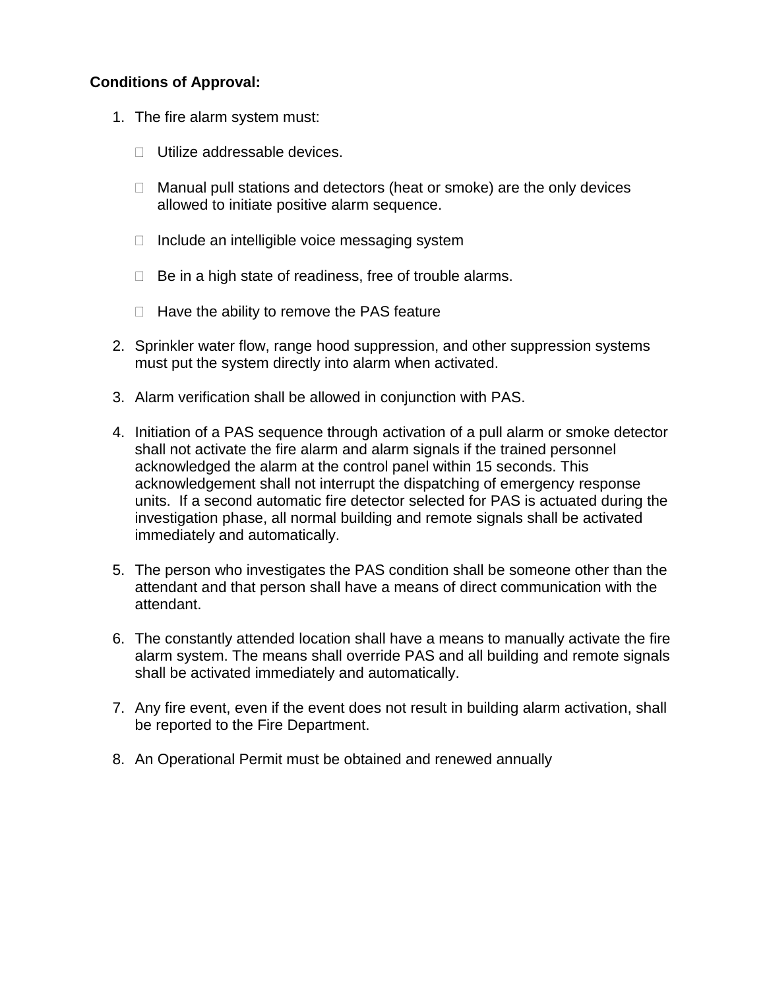# **Conditions of Approval:**

- 1. The fire alarm system must:
	- □ Utilize addressable devices.
	- $\Box$  Manual pull stations and detectors (heat or smoke) are the only devices allowed to initiate positive alarm sequence.
	- $\Box$  Include an intelligible voice messaging system
	- $\Box$  Be in a high state of readiness, free of trouble alarms.
	- $\Box$  Have the ability to remove the PAS feature
- 2. Sprinkler water flow, range hood suppression, and other suppression systems must put the system directly into alarm when activated.
- 3. Alarm verification shall be allowed in conjunction with PAS.
- 4. Initiation of a PAS sequence through activation of a pull alarm or smoke detector shall not activate the fire alarm and alarm signals if the trained personnel acknowledged the alarm at the control panel within 15 seconds. This acknowledgement shall not interrupt the dispatching of emergency response units. If a second automatic fire detector selected for PAS is actuated during the investigation phase, all normal building and remote signals shall be activated immediately and automatically.
- 5. The person who investigates the PAS condition shall be someone other than the attendant and that person shall have a means of direct communication with the attendant.
- 6. The constantly attended location shall have a means to manually activate the fire alarm system. The means shall override PAS and all building and remote signals shall be activated immediately and automatically.
- 7. Any fire event, even if the event does not result in building alarm activation, shall be reported to the Fire Department.
- 8. An Operational Permit must be obtained and renewed annually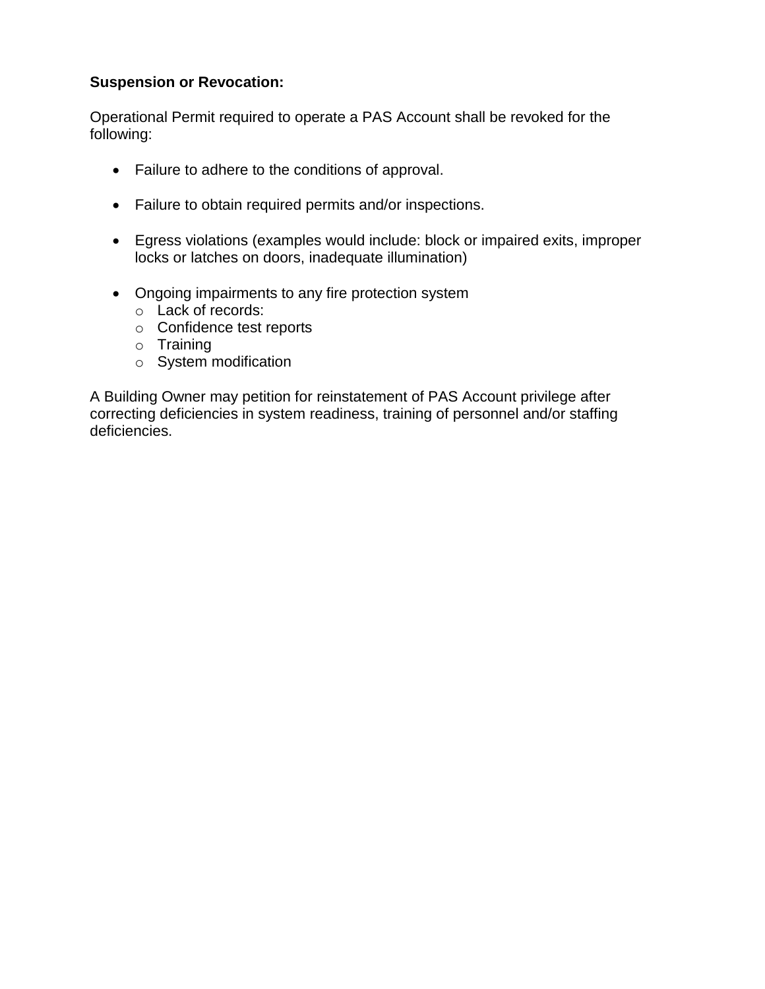# **Suspension or Revocation:**

Operational Permit required to operate a PAS Account shall be revoked for the following:

- Failure to adhere to the conditions of approval.
- Failure to obtain required permits and/or inspections.
- Egress violations (examples would include: block or impaired exits, improper locks or latches on doors, inadequate illumination)
- Ongoing impairments to any fire protection system
	- o Lack of records:
	- o Confidence test reports
	- o Training
	- o System modification

A Building Owner may petition for reinstatement of PAS Account privilege after correcting deficiencies in system readiness, training of personnel and/or staffing deficiencies.